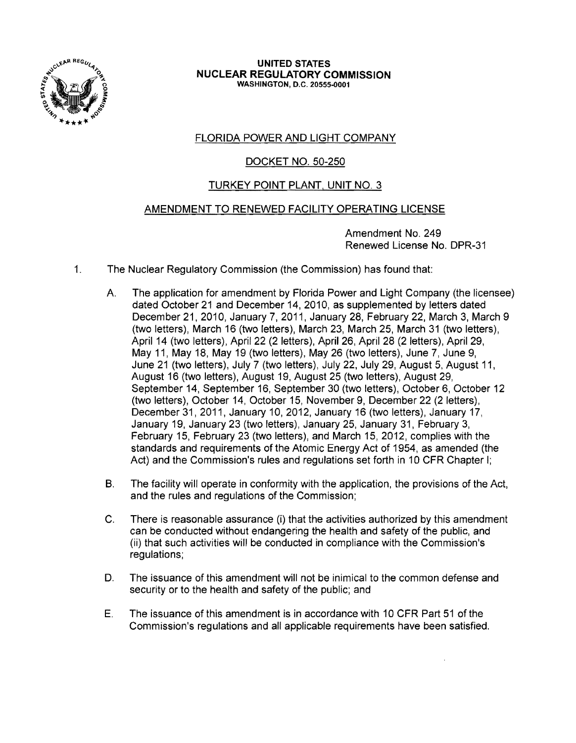

UNITED STATES NUCLEAR REGULATORY COMMISSION WASHINGTON, D.C. 20555-0001

# FLORIDA POWER AND LIGHT COMPANY

# DOCKET NO. 50-250

# TURKEY POINT PLANT. UNIT NO.3

## AMENDMENT TO RENEWED FACILITY OPERATING LICENSE

Amendment No. 249 Renewed License No. DPR-31

- 1. The Nuclear Regulatory Commission (the Commission) has found that:
	- A. The application for amendment by Florida Power and Light Company (the licensee) dated October 21 and December 14,2010, as supplemented by letters dated December 21, 2010, January 7, 2011, January 28, February 22, March 3, March 9 (two letters), March 16 (two letters), March 23, March 25, March 31 (two letters), April 14 (two letters), April 22 (2 letters), April 26, April 28 (2 letters), April 29, May 11, May 18, May 19 (two letters), May 26 (two letters), June 7, June 9, June 21 (two letters), July 7 (two letters), July 22, July 29, August 5, August 11, August 16 (two letters), August 19, August 25 (two letters), August 29, September 14, September 16, September 30 (two letters), October 6, October 12 (two letters), October 14, October 15, November 9, December 22 (2 letters), December31, 2011, January 10, 2012, January 16 (two letters), January 17, January 19, January 23 (two letters), January 25, January 31, February 3, February 15, February 23 (two letters), and March 15, 2012, complies with the standards and requirements of the Atomic Energy Act of 1954, as amended (the Act) and the Commission's rules and regulations set forth in 10 CFR Chapter I;
	- B. The facility will operate in conformity with the application, the provisions of the Act, and the rules and regulations of the Commission;
	- C. There is reasonable assurance (i) that the activities authorized by this amendment can be conducted without endangering the health and safety of the public, and (ii) that such activities will be conducted in compliance with the Commission's regulations;
	- D. The issuance of this amendment will not be inimical to the common defense and security or to the health and safety of the public; and
	- E. The issuance of this amendment is in accordance with 10 CFR Part 51 of the Commission's regulations and all applicable requirements have been satisfied.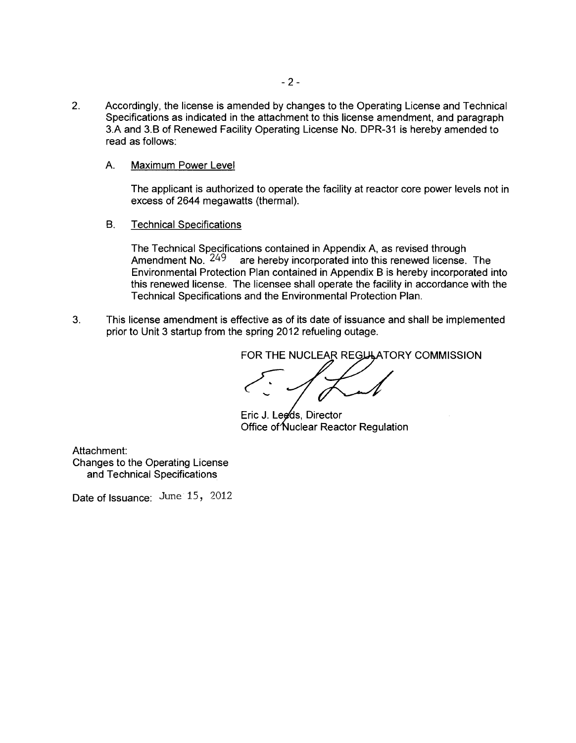- 2. Accordingly, the license is amended by changes to the Operating License and Technical Specifications as indicated in the attachment to this license amendment, and paragraph 3.A and 3.B of Renewed Facility Operating License No. DPR-31 is hereby amended to read as follows:
	- A. Maximum Power Level

The applicant is authorized to operate the facility at reactor core power levels not in excess of 2644 megawatts (thermal).

B. Technical Specifications

The Technical Specifications contained in Appendix A, as revised through Amendment No.  $249$  are hereby incorporated into this renewed license. are hereby incorporated into this renewed license. The Environmental Protection Plan contained in Appendix B is hereby incorporated into this renewed license. The licensee shall operate the facility in accordance with the Technical Specifications and the Environmental Protection Plan.

3. This license amendment is effective as of its date of issuance and shall be implemented prior to Unit 3 startup from the spring 2012 refueling outage.

FOR THE NUCLEAR REGLILATORY COMMISSION

Eric J. Leeds, Director Office of Nuclear Reactor Regulation

Attachment: Changes to the Operating License and Technical Specifications

Date of Issuance: June 15, 2012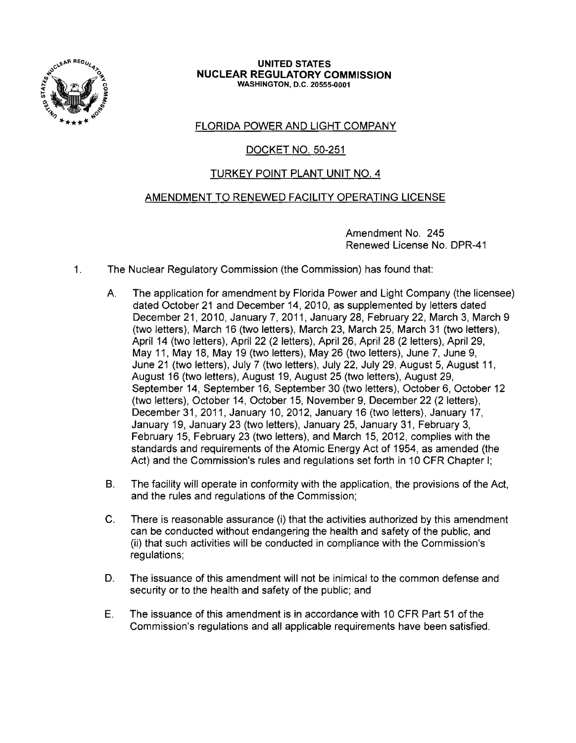

#### UNITED STATES NUCLEAR REGULATORY COMMISSION WASHINGTON, D.C. 20555-0001

# FLORIDA POWER AND LIGHT COMPANY

# DOCKET NO. 50-251

# TURKEY POINT PLANT UNIT NO.4

## AMENDMENT TO RENEWED FACILITY OPERATING LICENSE

Amendment No. 245 Renewed License No. DPR-41

- 1. The Nuclear Regulatory Commission (the Commission) has found that:
	- A. The application for amendment by Florida Power and Light Company (the licensee) dated October 21 and December 14, 2010, as supplemented by letters dated December 21,2010, January 7,2011, January 28, February 22, March 3, March 9 (two letters), March 16 (two letters), March 23, March 25, March 31 (two letters), April 14 (two letters), April 22 (2 letters), April 26, April 28 (2 letters), April 29, May 11, May 18, May 19 (two letters), May 26 (two letters), June 7, June 9, June 21 (two letters), July 7 (two letters), July 22, July 29, August 5, August 11, August 16 (two letters), August 19, August 25 (two letters), August 29, September 14, September 16, September 30 (two letters), October 6, October 12 (two letters), October 14, October 15, November 9, December 22 (2 letters), December 31, 2011, January 10, 2012, January 16 (two letters), January 17, January 19, January 23 (two letters), January 25, January 31, February 3, February 15, February 23 (two letters), and March 15, 2012, complies with the standards and requirements of the Atomic Energy Act of 1954, as amended (the Act) and the Commission's rules and regulations set forth in 10 CFR Chapter I;
	- B. The facility will operate in conformity with the application, the provisions of the Act, and the rules and regulations of the Commission;
	- C. There is reasonable assurance (i) that the activities authorized by this amendment can be conducted without endangering the health and safety of the public, and (ii) that such activities will be conducted in compliance with the Commission's regulations;
	- D. The issuance of this amendment will not be inimical to the common defense and security or to the health and safety of the public; and
	- E. The issuance of this amendment is in accordance with 10 CFR Part 51 of the Commission's regulations and all applicable requirements have been satisfied.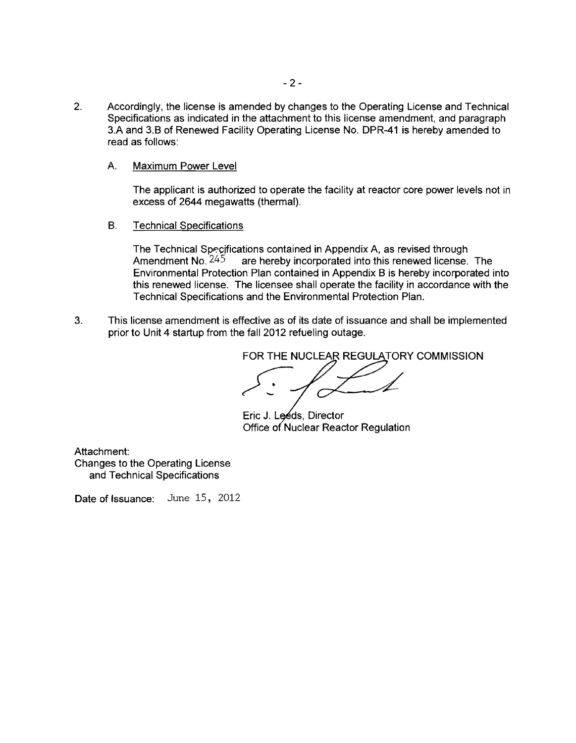- 2. Accordingly, the license is amended by changes to the Operating License and Technical Specifications as indicated in the attachment to this license amendment, and paragraph 3.A and 3.B of Renewed Facility Operating License No. DPR-41 is hereby amended to read as follows:
	- A. Maximum Power Level

The applicant is authorized to operate the facility at reactor core power levels not in excess of 2644 megawatts (thermal).

B. Technical Specifications

The Technical Specifications contained in Appendix A, as revised through Amendment No.  $245$  are hereby incorporated into this renewed license. The Environmental Protection Plan contained in Appendix B is hereby incorporated into this renewed license. The licensee shall operate the facility in accordance with the Technical Specifications and the Environmental Protection Plan.

3. This license amendment is effective as of its date of issuance and shall be implemented prior to Unit 4 startup from the fall 2012 refueling outage.

FOR THE NUCLEAR REGULATORY COMMISSION

Eric J. Leéds, Director Office of Nuclear Reactor Regulation

Attachment: Changes to the Operating License and Technical Specifications

Date of Issuance: June 15, 2012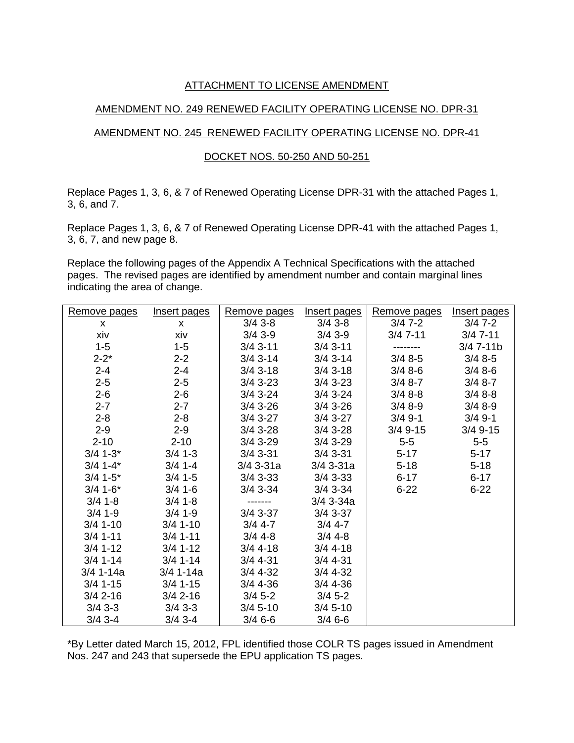## ATTACHMENT TO LICENSE AMENDMENT

## AMENDMENT NO. 249 RENEWED FACILITY OPERATING LICENSE NO. DPR-31

## AMENDMENT NO. 245 RENEWED FACILITY OPERATING LICENSE NO. DPR-41

## DOCKET NOS. 50-250 AND 50-251

Replace Pages 1, 3, 6, & 7 of Renewed Operating License DPR-31 with the attached Pages 1, 3, 6, and 7.

Replace Pages 1, 3, 6, & 7 of Renewed Operating License DPR-41 with the attached Pages 1, 3, 6, 7, and new page 8.

Replace the following pages of the Appendix A Technical Specifications with the attached pages. The revised pages are identified by amendment number and contain marginal lines indicating the area of change.

| Remove pages | Insert pages | Remove pages | Insert pages | Remove pages | Insert pages |
|--------------|--------------|--------------|--------------|--------------|--------------|
| $\mathsf{x}$ | $\mathsf{x}$ | $3/4$ 3-8    | $3/4$ 3-8    | $3/47-2$     | $3/47-2$     |
| xiv          | xiv          | $3/4$ 3-9    | $3/4$ 3-9    | $3/47-11$    | $3/47 - 11$  |
| $1 - 5$      | $1-5$        | $3/4$ 3-11   | $3/4$ 3-11   | --------     | $3/47 - 11b$ |
| $2 - 2^*$    | $2 - 2$      | $3/4$ 3-14   | $3/4$ 3-14   | $3/48-5$     | $3/48-5$     |
| $2 - 4$      | $2 - 4$      | $3/4$ 3-18   | $3/4$ 3-18   | $3/48-6$     | $3/48-6$     |
| $2 - 5$      | $2 - 5$      | $3/4$ 3-23   | $3/4$ 3-23   | $3/48-7$     | $3/48-7$     |
| $2 - 6$      | $2 - 6$      | $3/4$ 3-24   | $3/4$ 3-24   | $3/48-8$     | $3/48-8$     |
| $2 - 7$      | $2 - 7$      | $3/4$ 3-26   | $3/4$ 3-26   | $3/48-9$     | $3/48--9$    |
| $2 - 8$      | $2 - 8$      | $3/4$ 3-27   | $3/4$ 3-27   | $3/4$ 9-1    | $3/4$ 9-1    |
| $2 - 9$      | $2 - 9$      | $3/4$ 3-28   | $3/4$ 3-28   | 3/4 9-15     | $3/4$ 9-15   |
| $2 - 10$     | $2 - 10$     | $3/4$ 3-29   | $3/4$ 3-29   | $5-5$        | $5-5$        |
| $3/4$ 1-3*   | $3/4$ 1-3    | $3/4$ 3-31   | $3/4$ 3-31   | $5 - 17$     | $5 - 17$     |
| $3/4$ 1-4*   | $3/4$ 1-4    | $3/4$ 3-31a  | $3/4$ 3-31a  | $5 - 18$     | $5 - 18$     |
| $3/4$ 1-5*   | $3/4$ 1-5    | $3/4$ 3-33   | $3/4$ 3-33   | $6 - 17$     | $6 - 17$     |
| $3/4$ 1-6*   | $3/4$ 1-6    | 3/4 3-34     | $3/4$ 3-34   | $6 - 22$     | $6 - 22$     |
| $3/4$ 1-8    | $3/4$ 1-8    | -------      | $3/4$ 3-34a  |              |              |
| $3/4$ 1-9    | $3/4$ 1-9    | $3/4$ 3-37   | $3/4$ 3-37   |              |              |
| $3/4$ 1-10   | $3/4$ 1-10   | $3/4$ 4-7    | $3/4$ 4-7    |              |              |
| $3/4$ 1-11   | $3/4$ 1-11   | $3/44 - 8$   | $3/4$ 4-8    |              |              |
| $3/4$ 1-12   | $3/4$ 1-12   | $3/4$ 4-18   | $3/4$ 4-18   |              |              |
| $3/4$ 1-14   | $3/4$ 1-14   | $3/4$ 4-31   | $3/4$ 4-31   |              |              |
| $3/4$ 1-14a  | $3/4$ 1-14a  | $3/4$ 4-32   | $3/4$ 4-32   |              |              |
| $3/4$ 1-15   | $3/4$ 1-15   | $3/4$ 4-36   | $3/4$ 4-36   |              |              |
| $3/4$ 2-16   | $3/4$ 2-16   | $3/4$ 5-2    | $3/4$ 5-2    |              |              |
| $3/4$ 3-3    | $3/4$ 3-3    | $3/4$ 5-10   | $3/4$ 5-10   |              |              |
| $3/4$ 3-4    | $3/4$ 3-4    | $3/46-6$     | $3/46-6$     |              |              |

\*By Letter dated March 15, 2012, FPL identified those COLR TS pages issued in Amendment Nos. 247 and 243 that supersede the EPU application TS pages.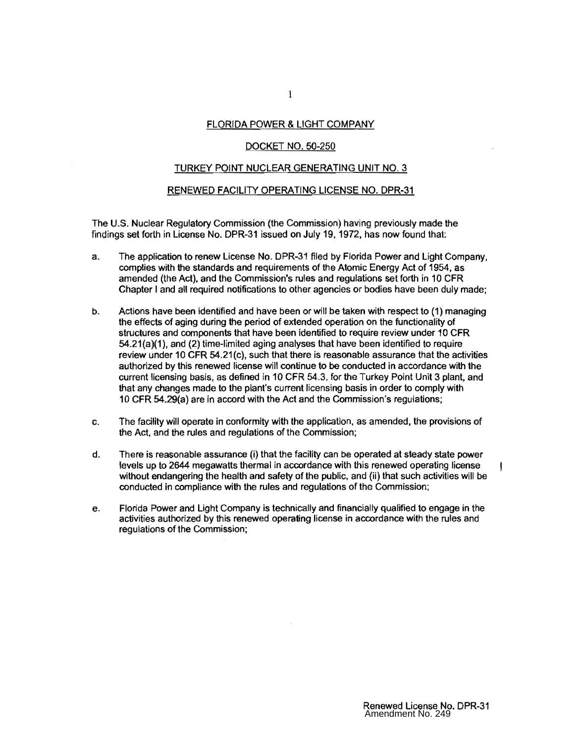#### FLORIDA POWER & LIGHT COMPANY

#### DOCKET NO. 50-250

#### TURKEY POINT NUCLEAR GENERATING UNIT NO.3

#### RENEWED FACILITY OPERATING LICENSE NO. DPR-31

The U.S. Nuclear Regulatory Commission (the Commission) having previously made the findings set forth in License No. DPR-31 issued on July 19, 1972, has now found that:

- a. The application to renew License No. DPR-31 filed by Florida Power and Light Company, complies with the standards and requirements of the Atomic Energy Act of 1954, as amended (the Act), and the Commission's rules and regulations set forth in 10 CFR Chapter I and all required notifications to other agencies or bodies have been duly made;
- b. Actions have been identified and have been or will be taken with respect to (1) managing the effects of aging during the period of extended operation on the functionality of structures and components that have been identified to require review under 10 CFR 54.21{a)(1), and (2) time-limited aging analyses that have been identified to require review under 10 CFR 54.21 (c), such that there is reasonable assurance that the activities authorized by this renewed license will continue to be conducted in accordance with the current licensing basis, as defined in 10 CFR 54.3, for the Turkey Point Unit 3 plant, and that any changes made to the plant's current licensing basis in order to comply with 10 CFR 54.29{a) are in accord with the Act and the Commission's regulations;
- c. The facility will operate in conformity with the application, as amended, the provisions of the Act, and the rules and regulations of the Commission;
- d. There is reasonable assurance (i) that the facility can be operated at steady state power levels up to 2644 megawatts thermal in accordance with this renewed operating license without endangering the health and safety of the public, and (ii) that such activities will be conducted in compliance with the rules and regulations of the Commission;
- e. Florida Power and Light Company is technically and financially qualified to engage in the activities authorized by this renewed operating license in accordance with the rules and regulations of the Commission;

 $\mathbf{I}$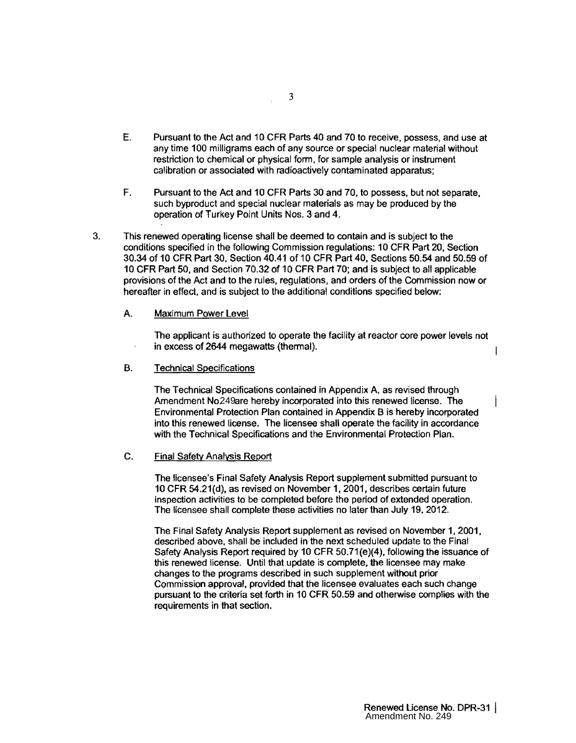- E. Pursuant to the Act and 10 CFR Parts 40 and 70 to receive, possess, and use at any time 100 milligrams each of any source or special nuclear material without restriction to chemical or physical form, for sample analysis or instrument calibration or associated with radioactively contaminated apparatus;
- F. Pursuant to the Act and 10 CFR Parts 30 and 70, to possess, but not separate, such byproduct and special nuclear materials as may be produced by the operation of Turkey Point Units Nos. 3 and 4.
- 3. This renewed operating license shall be deemed to contain and is subject to the conditions specified in the following Commission regulations: 10 CFR Part 20, Section 30.34 of 10 CFR Part 30, Section 40.41 of 10 CFR Part 40, Sections 50.54 and 50.59 of 10 CFR Part 50, and Section 70.32 of 10 CFR Part 70; and is subject to all applicable provisions of the Act and to the rules, regulations, and orders of the Commission now or hereafter in effect, and is subject to the additional conditions specified below;
	- A. Maximum Power Level

The applicant is authorized to operate the facility at reactor core power levels not in excess of 2644 megawatts (thermal).

B. Technical Specifications

The Technical Specifications contained in Appendix A, as revised through Amendment No. 249are hereby incorporated into this renewed license. The Environmental Protection Plan contained in Appendix B is hereby incorporated into this renewed license. The licensee shall operate the facility in accordance with the Technical Specifications and the Environmental Protection Plan.

### C. Final Safety Analysis Report

The licensee's Final Safety Analysis Report supplement submitted pursuant to 10 CFR 54.21(d), as revised on November 1, 2001, describes certain future inspection activities to be completed before the period of extended operation. The licensee shall complete these activities no later than July 19, 2012.

The Final Safety Analysis Report supplement as revised on November 1, 2001, described above, shall be included in the next scheduled update to the Final Safety Analysis Report required by 10 CFR 50.71(e)(4), following the issuance of this renewed license. Until that update is complete, the licensee may make changes to the programs described in such supplement without prior Commission approval, provided that the licensee evaluates each such change pursuant to the criteria set forth in 10 CFR 50.59 and otherwise complies with the requirements in that section. 249 24 Controllar and contained into this renewed license. The dicense of Corection Plan contained in Appendix B is hereby incorpreted dicense shall operate the facility in accordary diversion and the Environmental Protect

 $\overline{1}$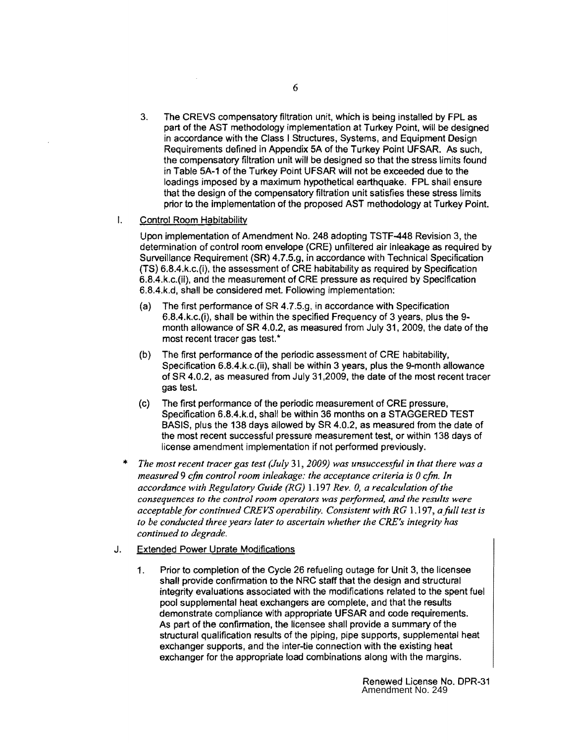3. The CREVS compensatory filtration unit, which is being installed by FPL as part of the AST methodology implementation at Turkey Point. will be designed in accordance with the Class I Structures, Systems, and Equipment Design Requirements defined in Appendix 5A of the Turkey Point UFSAR. As such, the compensatory filtration unit will be designed so that the stress limits found in Table 5A-1 of the Turkey Point UFSAR will not be exceeded due to the loadings imposed by a maximum hypothetical earthquake. FPL shall ensure that the design of the compensatory filtration unit satisfies these stress limits prior to the implementation of the proposed AST methodology at Turkey Point.

### I. Control Room Habitability

Upon implementation of Amendment No. 248 adopting TSTF-448 Revision 3, the detennination of control room envelope (CRE) unfiltered air inleakage as required by Surveillance Requirement (SR) 4.7.5.g, in accordance with Technical Specification (TS) 6.8.4.k.c.(i), the assessment of CRE habitability as required by Specification 6.8.4.k.c.(ii), and the measurement of CRE pressure as required by Specification 6.8.4.k.d, shall be considered met. Following implementation:

- (a) The first performance of  $SR$  4.7.5.g, in accordance with Specification 6.8.4.k.c.(i), shall be within the specified Frequency of 3 years, plus the 9 month allowance of SR 4.0.2, as measured from July 31, 2009, the date of the most recent tracer gas test. \*
- (b) The first performance of the periodic assessment of CRE habitability, Specification 6.8.4.k.c.(ii), shall be within 3 years, plus the 9-month allowance of SR 4.0.2, as measured from July 31 ,2009, the date of the most recent tracer gas test.
- (c) The first performance of the periodic measurement of CRE pressure, Specification 6.8.4.k.d, shall be within 36 months on a STAGGERED TEST BASIS, plus the 138 days allowed by SR 4.0.2, as measured from the date of the most recent successful pressure measurement test, or within 138 days of license amendment implementation if not performed previously.
- The most recent tracer gas test (July 31, 2009) was unsuccessful in that there was a *measured* 9 *cfm control room inleakage: the acceptance criteria is 0 cfm. In accordance with Regulatory Guide (RG)* 1.197 *Rev. 0, a recalculation ofthe consequences to the control room operators was peiformed, and the results were acceptable for continued CREVS operability. Consistent with RG* 1.197, *a full test is to be conducted three years later to ascertain whether the CRE's integrity has continued to degrade.*

## J. Extended Power Uprate Modifications

1. Prior to completion of the Cycle 26 refueling outage for Unit 3, the licensee shall provide confirmation to the NRC staff that the design and structural integrity evaluations associated with the modifications related to the spent fuel pool supplemental heat exchangers are complete, and that the results demonstrate compliance with appropriate UFSAR and code requirements. As part of the confirmation, the licensee shall provide a summary of the structural qualification results of the piping, pipe supports, supplemental heat exchanger supports, and the inter-tie connection with the existing heat exchanger for the appropriate load combinations along with the margins.

> Renewed License No. DPR-31 Amendment No. 249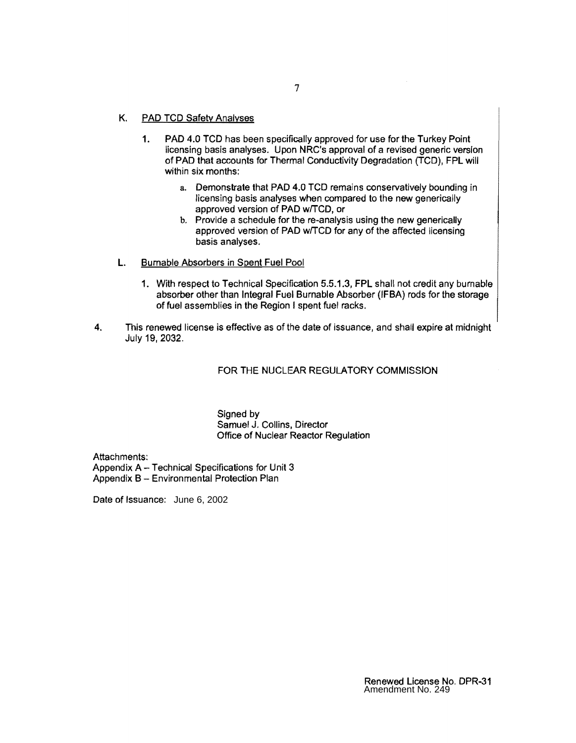- K. PAD TCD Safety Analyses
	- 1. PAD 4.0 TCD has been specifically approved for use for the Turkey Point licensing basis analyses. Upon NRC's approval of a revised generic version of PAD that accounts for Thermal Conductivity Degradation (TCD), FPL will within six months:
		- a. Demonstrate that PAD 4.0 TCD remains conservatively bounding in licensing basis analyses when compared to the new generically approved version of PAD w/TCD, or
		- b. Provide a schedule for the re-analysis using the new generically approved version of PAD w/TCD for any of the affected licensing basis analyses.
- L. Burnable Absorbers in Spent Fuel Pool
	- 1. With respect to Technical Specification 5.5.1.3, FPL shall not credit any burnable absorber other than Integral Fuel Burnable Absorber (IFBA) rods for the storage of fuel assemblies in the Region I spent fuel racks.
- 4. This renewed license is effective as of the date of issuance, and shall expire at midnight July 19, 2032.

### FOR THE NUCLEAR REGULATORY COMMISSION

Signed by Samuel J. Collins, Director Office of Nuclear Reactor Regulation

Attachments: Appendix A - Technical Specifications for Unit 3 Appendix B - Environmental Protection Plan

Date of Issuance: June 6, 2002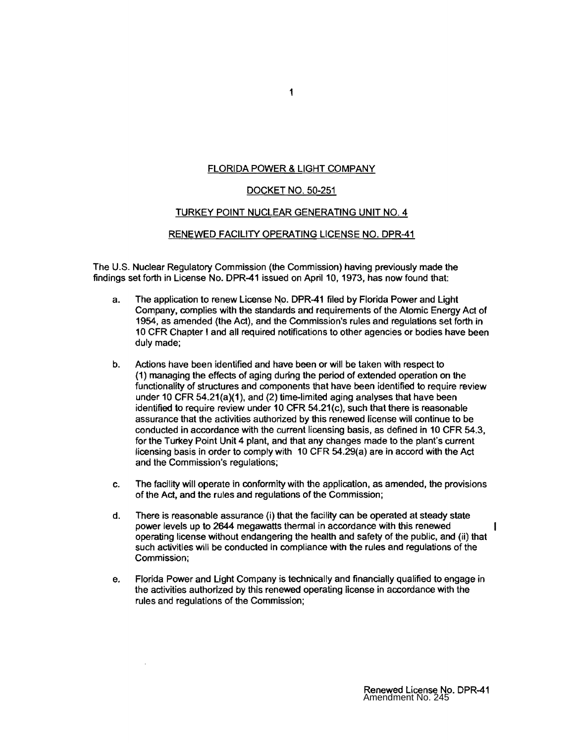## FLORIDA POWER & LIGHT COMPANY

### DOCKET NO. 50-251

### TURKEY POINT NUCLEAR GENERATING UNIT NO.4

#### RENEWED FACILITY OPERATING LICENSE NO. DPR-41

The U.S. Nuclear Regulatory Commission (the Commission) having previously made the findings set forth in License No. DPR-41 issued on April 10, 1973, has now found that:

- a. The application to renew License No. DPR-41 filed by Florida Power and Light Company, complies with the standards and requirements of the Atomic Energy Act of 1954, as amended (the Act), and the Commission's rules and regulations set forth in 10 CFR Chapter' and all required notifications to other agencies or bodies have been duly made;
- b. Actions have been identified and have been or will be taken with respect to (1) managing the effects of aging during the period of extended operation on the functionality of structures and components that have been identified to require review under 10 CFR 54.21(a)(1), and (2) time-limited aging analyses that have been identified to require review under 10 CFR 54.21 (c), such that there is reasonable assurance that the activities authorized by this renewed license will continue to be conducted in accordance with the current licensing basis, as defined in 10 CFR 54.3, for the Turkey Point Unit 4 plant, and that any changes made to the plant's current licensing basis in order to comply with 10 CFR 54.29(a) are in accord with the Act and the Commission's regulations;
- c. The facility will operate in conformity with the application, as amended, the provisions of the Act, and the rules and regulations of the Commission;
- d. There is reasonable assurance (i) that the facility can be operated at steady state power levels up to 2644 megawatts thermal in accordance with this renewed operating license without endangering the health and safety of the public, and (ii) that such activities will be conducted in compliance with the rules and regulations of the Commission;
- e. Florida Power and Light Company is technically and financially qualified to engage in the activities authorized by this renewed operating license in accordance with the rules and regulations of the Commission;

 $\bar{z}$ 

ł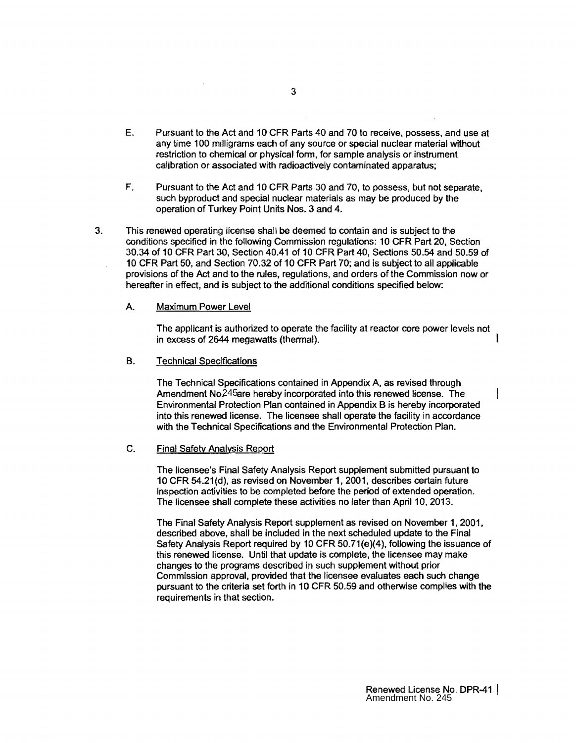- E. Pursuant to the Act and 10 CFR Parts 40 and 70 to receive, possess, and use at any time 100 milligrams each of any source or special nuclear material without restriction to chemical or physical form, for sample analysis or instrument calibration or associated with radioactively contaminated apparatus;
- F. Pursuant to the Act and 10 CFR Parts 30 and 70, to possess, but not separate, such byproduct and special nuclear materials as may be produced by the operation of Turkey Point Units Nos. 3 and 4.
- 3. This renewed operating license shall be deemed to contain and is subject to the conditions specified in the following Commission regulations: 10 CFR Part 20, Section 30.34 of 10 CFR Part 30, Section 40.41 of 10 CFR Part 40, Sections 50.54 and 50.59 of 10 CFR Part 50, and Section 70.32 of 10 CFR Part 70; and is subject to all applicable provisions of the Act and to the rules, regulations, and orders of the Commission now or hereafter in effect, and is subject to the additional conditions specified below:

#### A. Maximum Power Level

The applicant is authorized to operate the facility at reactor core power levels not in excess of 2644 megawatts (thermal).

#### **B.** Technical Specifications

The Technical Specifications contained in Appendix A, as revised through Amendment No. 245 are hereby incorporated into this renewed license. The Environmental Protection Plan contained in Appendix B is hereby incorporated into this renewed license. The licensee shall operate the facility in accordance with the Technical Specifications and the Environmental Protection Plan.

#### C. Final Safety Analysis Report

The licensee's Final Safety Analysis Report supplement submitted pursuant to 10 CFR 54.21(d). as revised on November 1, 2001, describes certain future inspection activities to be completed before the period of extended operation. The licensee shall complete these activities no later than April 10, 2013.

The Final Safety Analysis Report supplement as revised on November 1, 2001, described above, shall be included in the next scheduled update to the Final Safety Analysis Report required by 10 CFR 50.71(e)(4), following the issuance of this renewed license. Until that update is complete, the licensee may make changes to the programs described in such supplement without prior Commission approval, provided that the licensee evaluates each such change pursuant to the criteria set forth in 10 CFR 50.59 and otherwise complies with the requirements in that section. 245 24 Eare hereby incorporated into this renewed license. The contention Plan contained in Appendix B is hereby incorporated change of licensee shall operate the facility in accordical Specifications and the Environmental

ł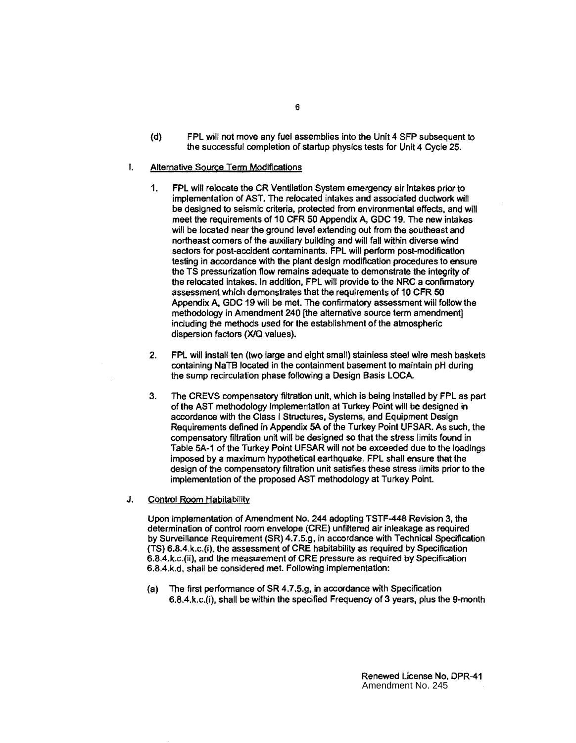- (d) FPL will not move any fuel assemblies into the Unit 4 SFP subsequent to the successful completion of startup physics tests for Unit 4 Cycle 25.
- I. Alternative Source Term Modifications
	- 1. FPL will relocate the CR Ventilation System emergency air intakes prior to implementation of AST. The relocated intakes and associated ductwork will be designed to seismic criteria, protected from environmental effects, and will meet the requirements of 10 CFR 50 Appendix A, GDC 19. The new intakes will be located near the ground level extending out from the southeast and northeast comers of the auxiliary building and will fall within diverse wind sectors for post-accident contaminants. FPL will perform post-modification testing in accordance with the plant design modification procedures to ensure the TS pressurization flow remains adequate to demonstrate the integrity of the relocated intakes. In addition, FPL will provide to the NRC a confinnatory assessment which demonstrates that the requirements of 10 CFR 50 Appendix A. GDC 19 will be met. The confirmatory assessment will follow the methodology in Amendment 240 [the alternative source term amendment] including the methods used for the establishment of the atmospheric dispersion factors (X/Q values).
	- 2. FPL will install ten (two large and eight small) stainless steel wire mesh baskets containing NaTB located in the containment basement to maintain pH during the sump recirculation phase following a Design Basis LOCA
	- 3. The CREVS compensatory filtration unit, which is being installed by FPL as part of the AST methodology Implementation at Turkey Point will be designed in accordance with the Class I Structures. Systems, and Equipment Design Requirements defined in Appendix SA of the Turkey Point UFSAR. As such, the compensatory filtration unit will be designed so that the stress limits found in Table SA-1 of the Turkey Point UFSAR will not be exceeded due to the loadings imposed by a maximum hypothetical earthquake. FPL shall ensure that the design of the compensatory filtration unit satisfies these stress limits prior to the implementation of the proposed AST methodology at Turkey Point.
- J. Control Room Habitability

Upon implementation of Amendment No. 244 adopting TSTF-448 Revision 3. the determination of control room envelope (CRE) unfiltered air inleakage as required by Surveillance Requirement (SR)4.7.5.g. in accordance with Technical Specification (TS) 6.8.4.k.c.(i). the assessment of CRE habitability as required by Specification 6.8.4.k.c.(ii), and the measurement of CRE pressure as required by Specification 6.8.4.k.d. shall be considered met. Following implementation:

(a) The first perfonnance of SR 4.7.5.g, in accordance with Specification 6.8.4.k.c.(i). shall be within the specified Frequency of 3 years, plus the 9-month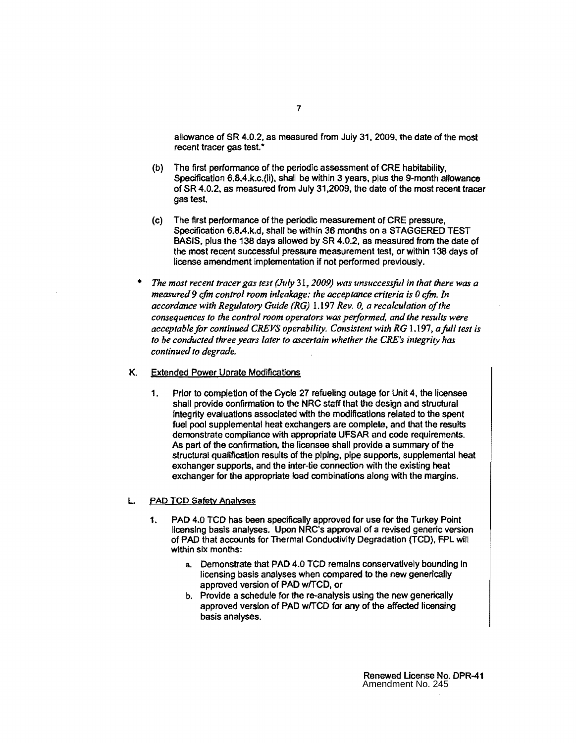allowance of SR 4.0.2. as measured from July 31. 2009, the date of the most recent tracer gas test.<sup>\*</sup>

- (b) The first performance of the periodic assessment of CRE habitability, Specification 6.8.4.k.c.(ii), shall be within 3 years, plus the 9-month allowance of SR 4.0.2, as measured from July 31.2009, the date of the most recent tracer gas test.
- (c) The first performance of the periodic measurement of CRE pressure, Specification 6.B.4.k.d, shall be within 36 months on a STAGGERED TEST BASIS. plus the 138 days allowed by SR 4.0.2, as measured from the date of the most recent successful pressure measurement test, or within 138 days of license amendment implementation if not performed previously.
- *The most recent tracer gas test (July* 31. *2009) was unsuccessful in that there was a measured* 9 *cfm control room inleakage: the acceptance criteria is 0 cfm. In accordance with Regulatory Guide (RG)* 1.197 *Rev. 0, a recalculation of the consequences to the control room operators was performed, and the results were acceptable for continued CREVS operability. Consistent with RG 1,197, a full test is to be conducted three years later to ascertain whether the CRE's integrity has continued to degrade.*
- K. Extended Power Uprate Modifications
	- 1. Prior to completion of the Cycle 27 refueling outage for Unit 4, the licensee shall provide confirmation to the NRC staff that the design and structural integrity evaluations associated with the modifications related to the spent fuel pool supplemental heat exchangers are complete. and that the results demonstrate compliance with appropriate UFSAR and code requirements. As part of the confirmation, the licensee shall provide a summary of the structural qualification results of the piping, pipe supports, supplemental heat exchanger supports, and the inter-tie connection with the existing heat exchanger for the appropriate load combinations along with the margins.

#### PAD TCD Safety Analyses

- 1. PAD 4.0 TCD has been specifically approved for use for the Turkey Point licensing basis analyses. Upon NRC's approval of a revised generic version of PAD that accounts for Thermal Conductivity Degradation (TCD). FPL will within six months:
	- a. Demonstrate that PAD 4.0 TCD remains conservatively bounding in licensing basis analyses when compared to the new generically approved version of PAD w/TCD, or
	- b. Provide a schedule for the re-analysis using the new generically approved version of PAD w/TCD for any of the affected licensing basis analyses.